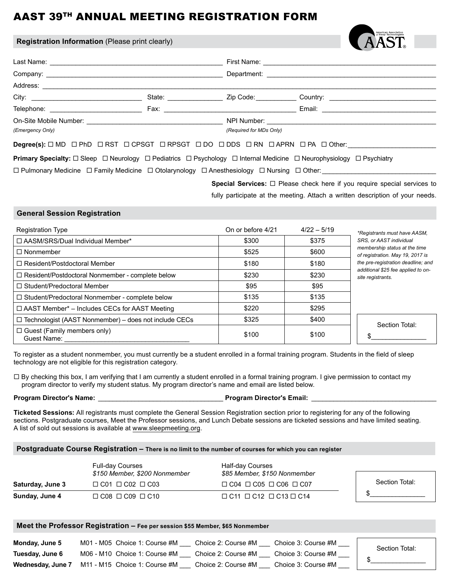# AAST 39TH ANNUAL MEETING REGISTRATION FORM

### **Registration Information** (Please print clearly)

| American Association<br>or Sleep Technologists |
|------------------------------------------------|
|                                                |

| City: City:                                                                                                                             |  | State: <b>Example 2019</b> |  |                         | Zip Code: will be a family of the control of the control of the control of the control of the control of the c |                                                                                                      |  |  |
|-----------------------------------------------------------------------------------------------------------------------------------------|--|----------------------------|--|-------------------------|----------------------------------------------------------------------------------------------------------------|------------------------------------------------------------------------------------------------------|--|--|
|                                                                                                                                         |  |                            |  |                         |                                                                                                                | Email: 2008. 2009. 2009. 2009. 2012. 2013. 2014. 2015. 2016. 2017. 2018. 2019. 2019. 2019. 2019. 201 |  |  |
|                                                                                                                                         |  |                            |  |                         | NPI Number: ____________________________                                                                       |                                                                                                      |  |  |
| (Emergency Only)                                                                                                                        |  |                            |  | (Required for MDs Only) |                                                                                                                |                                                                                                      |  |  |
| Degree(s): $\Box$ MD $\Box$ PhD $\Box$ RST $\Box$ CPSGT $\Box$ RPSGT $\Box$ DO $\Box$ DDS $\Box$ RN $\Box$ APRN $\Box$ PA $\Box$ Other: |  |                            |  |                         |                                                                                                                |                                                                                                      |  |  |

**Primary Specialty:**  $\Box$  Sleep  $\Box$  Neurology  $\Box$  Pediatrics  $\Box$  Psychology  $\Box$  Internal Medicine  $\Box$  Neurophysiology  $\Box$  Psychiatry

 $\Box$  Pulmonary Medicine  $\Box$  Family Medicine  $\Box$  Otolarynology  $\Box$  Anesthesiology  $\Box$  Nursing  $\Box$  Other:

**Special Services:** □ Please check here if you require special services to fully participate at the meeting. Attach a written description of your needs.

### **General Session Registration**

| <b>Registration Type</b>                                     | On or before 4/21 | $4/22 - 5/19$ | *Registrants must have AASM,                                      |
|--------------------------------------------------------------|-------------------|---------------|-------------------------------------------------------------------|
| □ AASM/SRS/Dual Individual Member*                           | \$300             | \$375         | SRS, or AAST individual                                           |
| $\Box$ Nonmember                                             | \$525             | \$600         | membership status at the time<br>of registration. May 19, 2017 is |
| $\Box$ Resident/Postdoctoral Member                          | \$180             | \$180         | the pre-registration deadline; and                                |
| $\Box$ Resident/Postdoctoral Nonmember - complete below      | \$230             | \$230         | additional \$25 fee applied to on-<br>site registrants.           |
| □ Student/Predoctoral Member                                 | \$95              | \$95          |                                                                   |
| □ Student/Predoctoral Nonmember - complete below             | \$135             | \$135         |                                                                   |
| $\Box$ AAST Member* - Includes CECs for AAST Meeting         | \$220             | \$295         |                                                                   |
| $\Box$ Technologist (AAST Nonmember) – does not include CECs | \$325             | \$400         | Section Total:                                                    |
| $\Box$ Guest (Family members only)<br>Guest Name:            | \$100             | \$100         |                                                                   |

To register as a student nonmember, you must currently be a student enrolled in a formal training program. Students in the field of sleep technology are not eligible for this registration category.

 $\Box$  By checking this box, I am verifying that I am currently a student enrolled in a formal training program. I give permission to contact my program director to verify my student status. My program director's name and email are listed below.

### **Program Director's Name:** \_\_\_\_\_\_\_\_\_\_\_\_\_\_\_\_\_\_\_\_\_\_\_\_\_\_\_\_\_\_\_\_\_\_ **Program Director's Email:** \_\_\_\_\_\_\_\_\_\_\_\_\_\_\_\_\_\_\_\_\_\_\_\_\_\_\_\_\_\_\_\_\_\_

**Ticketed Sessions:** All registrants must complete the General Session Registration section prior to registering for any of the following sections. Postgraduate courses, Meet the Professor sessions, and Lunch Debate sessions are ticketed sessions and have limited seating. A list of sold out sessions is available at www.sleepmeeting.org.

### **Postgraduate Course Registration – There is no limit to the number of courses for which you can register**

|                  | <b>Full-day Courses</b><br>\$150 Member, \$200 Nonmember | Half-day Courses<br>\$85 Member, \$150 Nonmember |                |
|------------------|----------------------------------------------------------|--------------------------------------------------|----------------|
| Saturday, June 3 | $\Box$ C01 $\Box$ C02 $\Box$ C03                         | $\Box$ C04 $\Box$ C05 $\Box$ C06 $\Box$ C07      | Section Total: |
| Sunday, June 4   | $\Box$ C08 $\Box$ C09 $\Box$ C10                         | $\Box$ C11 $\Box$ C12 $\Box$ C13 $\Box$ C14      |                |

## **Meet the Professor Registration – Fee per session \$55 Member, \$65 Nonmember**

| Monday, June 5    | M01 - M05 Choice 1: Course #M    | Choice 2: Course #M | Choice 3: Course #M | Section Total: |
|-------------------|----------------------------------|---------------------|---------------------|----------------|
| Tuesday, June 6   | M06 - M10 Choice 1: Course $\#M$ | Choice 2: Course #M | Choice 3: Course #M |                |
| Wednesday, June 7 | M11 - M15 Choice 1: Course #M    | Choice 2: Course #M | Choice 3: Course #M |                |